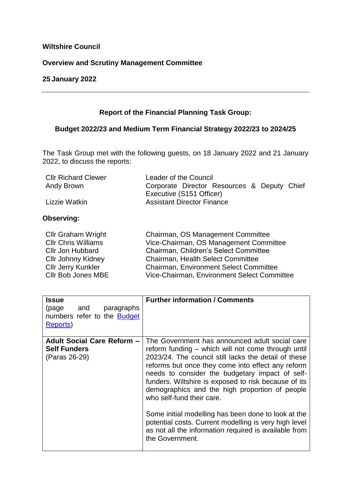# **Wiltshire Council**

# **Overview and Scrutiny Management Committee**

#### **25 January 2022**

# **Report of the Financial Planning Task Group:**

# **Budget 2022/23 and Medium Term Financial Strategy 2022/23 to 2024/25**

The Task Group met with the following guests, on 18 January 2022 and 21 January 2022, to discuss the reports:

| <b>Cllr Richard Clewer</b> | Leader of the Council                       |
|----------------------------|---------------------------------------------|
| Andy Brown                 | Corporate Director Resources & Deputy Chief |
|                            | Executive (S151 Officer)                    |
| Lizzie Watkin              | <b>Assistant Director Finance</b>           |

## **Observing:**

| <b>Cllr Graham Wright</b>  | Chairman, OS Management Committee           |
|----------------------------|---------------------------------------------|
| <b>CIIr Chris Williams</b> | Vice-Chairman, OS Management Committee      |
| <b>Cllr Jon Hubbard</b>    | Chairman, Children's Select Committee       |
| <b>Cllr Johnny Kidney</b>  | <b>Chairman, Health Select Committee</b>    |
| <b>Cllr Jerry Kunkler</b>  | Chairman, Environment Select Committee      |
| Cllr Bob Jones MBE         | Vice-Chairman, Environment Select Committee |

| <b>Issue</b><br>paragraphs<br>(page<br>and<br>numbers refer to the <b>Budget</b><br>Reports) | <b>Further information / Comments</b>                                                                                                                                                                                                                                                                                                                                                                                                                                                                                                                                                                   |
|----------------------------------------------------------------------------------------------|---------------------------------------------------------------------------------------------------------------------------------------------------------------------------------------------------------------------------------------------------------------------------------------------------------------------------------------------------------------------------------------------------------------------------------------------------------------------------------------------------------------------------------------------------------------------------------------------------------|
| <b>Adult Social Care Reform -</b><br><b>Self Funders</b><br>(Paras 26-29)                    | The Government has announced adult social care<br>reform funding – which will not come through until<br>2023/24. The council still lacks the detail of these<br>reforms but once they come into effect any reform<br>needs to consider the budgetary impact of self-<br>funders. Wiltshire is exposed to risk because of its<br>demographics and the high proportion of people<br>who self-fund their care.<br>Some initial modelling has been done to look at the<br>potential costs. Current modelling is very high level<br>as not all the information required is available from<br>the Government. |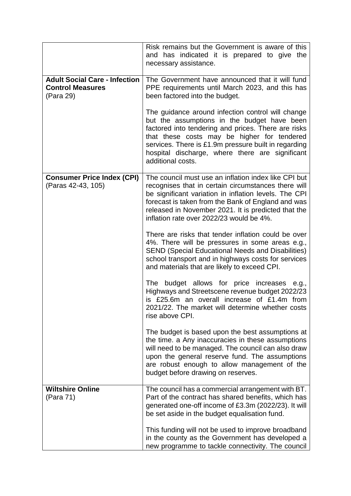|                                                                              | Risk remains but the Government is aware of this<br>and has indicated it is prepared to give the<br>necessary assistance.                                                                                                                                                                                                              |
|------------------------------------------------------------------------------|----------------------------------------------------------------------------------------------------------------------------------------------------------------------------------------------------------------------------------------------------------------------------------------------------------------------------------------|
| <b>Adult Social Care - Infection</b><br><b>Control Measures</b><br>(Para 29) | The Government have announced that it will fund<br>PPE requirements until March 2023, and this has<br>been factored into the budget.                                                                                                                                                                                                   |
|                                                                              | The guidance around infection control will change<br>but the assumptions in the budget have been<br>factored into tendering and prices. There are risks<br>that these costs may be higher for tendered<br>services. There is £1.9m pressure built in regarding<br>hospital discharge, where there are significant<br>additional costs. |
| <b>Consumer Price Index (CPI)</b><br>(Paras 42-43, 105)                      | The council must use an inflation index like CPI but<br>recognises that in certain circumstances there will<br>be significant variation in inflation levels. The CPI<br>forecast is taken from the Bank of England and was<br>released in November 2021. It is predicted that the<br>inflation rate over 2022/23 would be 4%.          |
|                                                                              | There are risks that tender inflation could be over<br>4%. There will be pressures in some areas e.g.,<br><b>SEND (Special Educational Needs and Disabilities)</b><br>school transport and in highways costs for services<br>and materials that are likely to exceed CPI.                                                              |
|                                                                              | The<br>budget allows for price increases<br>e.g.,<br>Highways and Streetscene revenue budget 2022/23<br>is £25.6m an overall increase of £1.4m from<br>2021/22. The market will determine whether costs<br>rise above CPI.                                                                                                             |
|                                                                              | The budget is based upon the best assumptions at<br>the time. a Any inaccuracies in these assumptions<br>will need to be managed. The council can also draw<br>upon the general reserve fund. The assumptions<br>are robust enough to allow management of the<br>budget before drawing on reserves.                                    |
| <b>Wiltshire Online</b><br>(Para 71)                                         | The council has a commercial arrangement with BT.<br>Part of the contract has shared benefits, which has                                                                                                                                                                                                                               |
|                                                                              | generated one-off income of £3.3m (2022/23). It will<br>be set aside in the budget equalisation fund.                                                                                                                                                                                                                                  |
|                                                                              | This funding will not be used to improve broadband<br>in the county as the Government has developed a<br>new programme to tackle connectivity. The council                                                                                                                                                                             |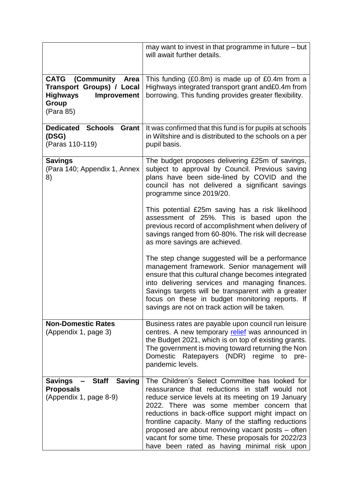|                                                                                                                        | may want to invest in that programme in future - but<br>will await further details.                                                                                                                                                                                                                                                                                                                                  |
|------------------------------------------------------------------------------------------------------------------------|----------------------------------------------------------------------------------------------------------------------------------------------------------------------------------------------------------------------------------------------------------------------------------------------------------------------------------------------------------------------------------------------------------------------|
| <b>CATG</b><br>(Community<br>Area<br>Transport Groups) / Local<br><b>Highways</b><br>Improvement<br>Group<br>(Para 85) | This funding $(E0.8m)$ is made up of $E0.4m$ from a<br>Highways integrated transport grant and£0.4m from<br>borrowing. This funding provides greater flexibility.                                                                                                                                                                                                                                                    |
| <b>Dedicated</b><br><b>Schools</b><br><b>Grant</b><br>(DSG)<br>(Paras 110-119)                                         | It was confirmed that this fund is for pupils at schools<br>in Wiltshire and is distributed to the schools on a per<br>pupil basis.                                                                                                                                                                                                                                                                                  |
| <b>Savings</b><br>(Para 140; Appendix 1, Annex<br>8)                                                                   | The budget proposes delivering £25m of savings,<br>subject to approval by Council. Previous saving<br>plans have been side-lined by COVID and the<br>council has not delivered a significant savings<br>programme since 2019/20.                                                                                                                                                                                     |
|                                                                                                                        | This potential £25m saving has a risk likelihood<br>assessment of 25%. This is based upon the<br>previous record of accomplishment when delivery of<br>savings ranged from 60-80%. The risk will decrease<br>as more savings are achieved.                                                                                                                                                                           |
|                                                                                                                        | The step change suggested will be a performance<br>management framework. Senior management will<br>ensure that this cultural change becomes integrated<br>into delivering services and managing finances.<br>Savings targets will be transparent with a greater<br>focus on these in budget monitoring reports. If<br>savings are not on track action will be taken.                                                 |
| <b>Non-Domestic Rates</b><br>(Appendix 1, page 3)                                                                      | Business rates are payable upon council run leisure<br>centres. A new temporary relief was announced in<br>the Budget 2021, which is on top of existing grants.<br>The government is moving toward returning the Non<br>Domestic<br>Ratepayers (NDR) regime<br>to<br>pre-<br>pandemic levels.                                                                                                                        |
| <b>Staff</b><br><b>Saving</b><br><b>Savings</b>                                                                        | The Children's Select Committee has looked for                                                                                                                                                                                                                                                                                                                                                                       |
| <b>Proposals</b><br>(Appendix 1, page 8-9)                                                                             | reassurance that reductions in staff would not<br>reduce service levels at its meeting on 19 January<br>2022. There was some member concern that<br>reductions in back-office support might impact on<br>frontline capacity. Many of the staffing reductions<br>proposed are about removing vacant posts - often<br>vacant for some time. These proposals for 2022/23<br>have been rated as having minimal risk upon |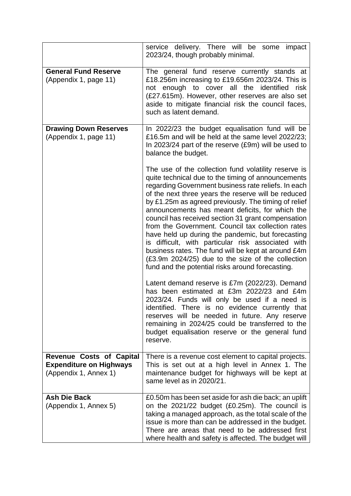|                                                         | service delivery. There will be some impact<br>2023/24, though probably minimal.                                                                                                                                                                                                                                                                                                                                                                                                                                                                                                                                                                                                                                          |
|---------------------------------------------------------|---------------------------------------------------------------------------------------------------------------------------------------------------------------------------------------------------------------------------------------------------------------------------------------------------------------------------------------------------------------------------------------------------------------------------------------------------------------------------------------------------------------------------------------------------------------------------------------------------------------------------------------------------------------------------------------------------------------------------|
| <b>General Fund Reserve</b><br>(Appendix 1, page 11)    | The general fund reserve currently stands at<br>£18.256m increasing to £19.656m 2023/24. This is<br>not enough to cover all the identified<br>risk<br>(£27.615m). However, other reserves are also set<br>aside to mitigate financial risk the council faces,<br>such as latent demand.                                                                                                                                                                                                                                                                                                                                                                                                                                   |
| <b>Drawing Down Reserves</b><br>(Appendix 1, page 11)   | In 2022/23 the budget equalisation fund will be<br>£16.5m and will be held at the same level 2022/23;<br>In 2023/24 part of the reserve (£9m) will be used to<br>balance the budget.                                                                                                                                                                                                                                                                                                                                                                                                                                                                                                                                      |
|                                                         | The use of the collection fund volatility reserve is<br>quite technical due to the timing of announcements<br>regarding Government business rate reliefs. In each<br>of the next three years the reserve will be reduced<br>by £1.25m as agreed previously. The timing of relief<br>announcements has meant deficits, for which the<br>council has received section 31 grant compensation<br>from the Government. Council tax collection rates<br>have held up during the pandemic, but forecasting<br>is difficult, with particular risk associated with<br>business rates. The fund will be kept at around £4m<br>(£3.9m 2024/25) due to the size of the collection<br>fund and the potential risks around forecasting. |
|                                                         | Latent demand reserve is £7m (2022/23). Demand<br>has been estimated at £3m 2022/23 and £4m<br>2023/24. Funds will only be used if a need is<br>identified. There is no evidence currently that<br>reserves will be needed in future. Any reserve<br>remaining in 2024/25 could be transferred to the<br>budget equalisation reserve or the general fund<br>reserve.                                                                                                                                                                                                                                                                                                                                                      |
| <b>Revenue Costs of Capital</b>                         | There is a revenue cost element to capital projects.                                                                                                                                                                                                                                                                                                                                                                                                                                                                                                                                                                                                                                                                      |
| <b>Expenditure on Highways</b><br>(Appendix 1, Annex 1) | This is set out at a high level in Annex 1. The<br>maintenance budget for highways will be kept at<br>same level as in 2020/21.                                                                                                                                                                                                                                                                                                                                                                                                                                                                                                                                                                                           |
| <b>Ash Die Back</b><br>(Appendix 1, Annex 5)            | £0.50m has been set aside for ash die back; an uplift<br>on the 2021/22 budget (£0.25m). The council is<br>taking a managed approach, as the total scale of the<br>issue is more than can be addressed in the budget.<br>There are areas that need to be addressed first<br>where health and safety is affected. The budget will                                                                                                                                                                                                                                                                                                                                                                                          |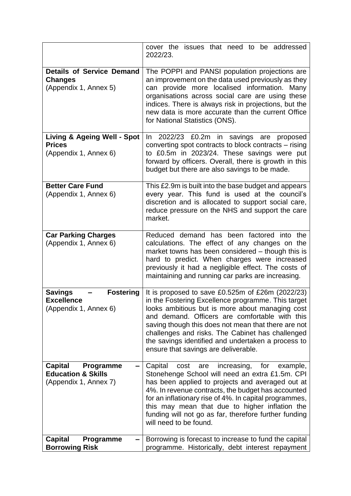|                                                                                                   | cover the issues that need to be addressed<br>2022/23.                                                                                                                                                                                                                                                                                                                                                                   |
|---------------------------------------------------------------------------------------------------|--------------------------------------------------------------------------------------------------------------------------------------------------------------------------------------------------------------------------------------------------------------------------------------------------------------------------------------------------------------------------------------------------------------------------|
| <b>Details of Service Demand</b><br><b>Changes</b><br>(Appendix 1, Annex 5)                       | The POPPI and PANSI population projections are<br>an improvement on the data used previously as they<br>can provide more localised information. Many<br>organisations across social care are using these<br>indices. There is always risk in projections, but the<br>new data is more accurate than the current Office<br>for National Statistics (ONS).                                                                 |
| <b>Living &amp; Ageing Well - Spot</b><br><b>Prices</b><br>(Appendix 1, Annex 6)                  | 2022/23 £0.2m in savings are proposed<br>In.<br>converting spot contracts to block contracts – rising<br>to £0.5m in 2023/24. These savings were put<br>forward by officers. Overall, there is growth in this<br>budget but there are also savings to be made.                                                                                                                                                           |
| <b>Better Care Fund</b><br>(Appendix 1, Annex 6)                                                  | This £2.9m is built into the base budget and appears<br>every year. This fund is used at the council's<br>discretion and is allocated to support social care,<br>reduce pressure on the NHS and support the care<br>market.                                                                                                                                                                                              |
| <b>Car Parking Charges</b><br>(Appendix 1, Annex 6)                                               | Reduced demand has been factored into the<br>calculations. The effect of any changes on the<br>market towns has been considered – though this is<br>hard to predict. When charges were increased<br>previously it had a negligible effect. The costs of<br>maintaining and running car parks are increasing.                                                                                                             |
| <b>Savings</b><br><b>Fostering</b><br><b>Excellence</b><br>(Appendix 1, Annex 6)                  | It is proposed to save $£0.525m$ of $£26m$ (2022/23)<br>in the Fostering Excellence programme. This target<br>looks ambitious but is more about managing cost<br>and demand. Officers are comfortable with this<br>saving though this does not mean that there are not<br>challenges and risks. The Cabinet has challenged<br>the savings identified and undertaken a process to<br>ensure that savings are deliverable. |
| <b>Capital</b><br><b>Programme</b><br>-<br><b>Education &amp; Skills</b><br>(Appendix 1, Annex 7) | Capital<br>cost<br>increasing,<br>for<br>are<br>example,<br>Stonehenge School will need an extra £1.5m. CPI<br>has been applied to projects and averaged out at<br>4%. In revenue contracts, the budget has accounted<br>for an inflationary rise of 4%. In capital programmes,<br>this may mean that due to higher inflation the<br>funding will not go as far, therefore further funding<br>will need to be found.     |
| <b>Capital</b><br>Programme<br><b>Borrowing Risk</b>                                              | Borrowing is forecast to increase to fund the capital<br>programme. Historically, debt interest repayment                                                                                                                                                                                                                                                                                                                |